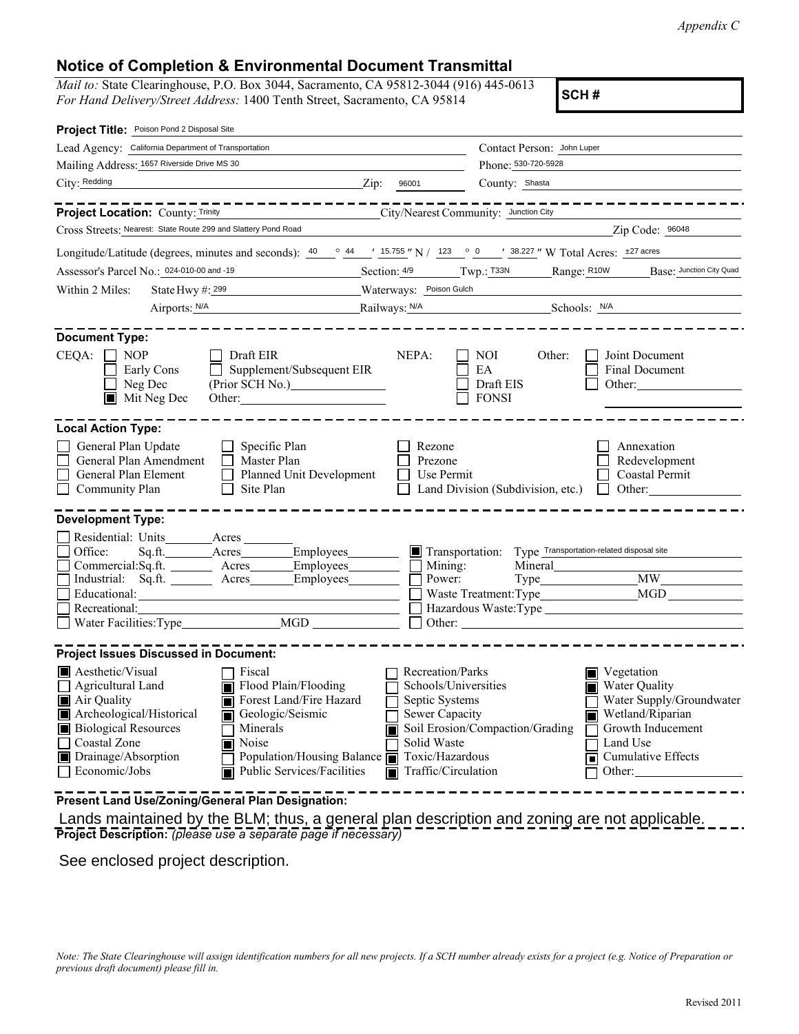*Appendix C*

## **Notice of Completion & Environmental Document Transmittal**

*Mail to:* State Clearinghouse, P.O. Box 3044, Sacramento, CA 95812-3044 (916) 445-0613 *For Hand Delivery/Street Address:* 1400 Tenth Street, Sacramento, CA 95814

| Project Title: Poison Pond 2 Disposal Site                                                                                                                                                                                                                                                                                                                                        |                                                                                                                                       |                                                           |                                                                                                                                                          |
|-----------------------------------------------------------------------------------------------------------------------------------------------------------------------------------------------------------------------------------------------------------------------------------------------------------------------------------------------------------------------------------|---------------------------------------------------------------------------------------------------------------------------------------|-----------------------------------------------------------|----------------------------------------------------------------------------------------------------------------------------------------------------------|
| Lead Agency: California Department of Transportation                                                                                                                                                                                                                                                                                                                              |                                                                                                                                       | Contact Person: John Luper                                |                                                                                                                                                          |
| Mailing Address: 1657 Riverside Drive MS 30                                                                                                                                                                                                                                                                                                                                       |                                                                                                                                       | Phone: 530-720-5928                                       |                                                                                                                                                          |
| City: Redding<br>$\chi$ ip: 96001                                                                                                                                                                                                                                                                                                                                                 |                                                                                                                                       | County: Shasta                                            |                                                                                                                                                          |
| ----------------<br><b>Project Location:</b> County: Trinity <b>Cancel Act 2 City/Nearest Community:</b> Junction City                                                                                                                                                                                                                                                            |                                                                                                                                       |                                                           |                                                                                                                                                          |
| Cross Streets: Nearest: State Route 299 and Slattery Pond Road                                                                                                                                                                                                                                                                                                                    |                                                                                                                                       |                                                           | Zip Code: 96048                                                                                                                                          |
| Longitude/Latitude (degrees, minutes and seconds): $\frac{40}{9}$ $\frac{44}{15.755}$ "N / 123 ° 0 ' 38.227 " W Total Acres: $\pm$ 27 acres                                                                                                                                                                                                                                       |                                                                                                                                       |                                                           |                                                                                                                                                          |
| Assessor's Parcel No.: 024-010-00 and -19                                                                                                                                                                                                                                                                                                                                         |                                                                                                                                       |                                                           | Section: 4/9 Twp.: T33N Range: R10W Base: Junction City Quad                                                                                             |
| State Hwy #: 299 Waterways: Poison Gulch<br>Within 2 Miles:                                                                                                                                                                                                                                                                                                                       |                                                                                                                                       |                                                           |                                                                                                                                                          |
| Airports: <u>N/A Railways: N/A</u> Schools: N/A Schools: N/A                                                                                                                                                                                                                                                                                                                      |                                                                                                                                       |                                                           |                                                                                                                                                          |
| <b>Document Type:</b>                                                                                                                                                                                                                                                                                                                                                             |                                                                                                                                       |                                                           |                                                                                                                                                          |
| $CEQA: \Box NP$<br>Draft EIR<br>$\Box$<br>Supplement/Subsequent EIR<br>Early Cons<br>Neg Dec<br>(Prior SCH No.)<br>$\blacksquare$ Mit Neg Dec<br>Other:                                                                                                                                                                                                                           | NEPA:                                                                                                                                 | NOI<br>Other:<br>EA<br>Draft EIS<br><b>FONSI</b>          | Joint Document<br>Final Document<br>Other:                                                                                                               |
| <b>Local Action Type:</b>                                                                                                                                                                                                                                                                                                                                                         |                                                                                                                                       |                                                           |                                                                                                                                                          |
| General Plan Update<br>Specific Plan<br>General Plan Amendment<br>Master Plan<br>General Plan Element<br>Planned Unit Development<br>Community Plan<br>Site Plan                                                                                                                                                                                                                  | Rezone<br>Prezone<br>Use Permit                                                                                                       | Land Division (Subdivision, etc.)                         | Annexation<br>Redevelopment<br>Coastal Permit<br>Other:<br>$\perp$                                                                                       |
| <b>Development Type:</b>                                                                                                                                                                                                                                                                                                                                                          |                                                                                                                                       |                                                           |                                                                                                                                                          |
| Residential: Units ________ Acres<br>Office:<br>Sq.ft. Acres Employees<br>Commercial:Sq.ft. _______ Acres ______ Employees _______<br>Industrial: Sq.ft. _______ Acres _______ Employees ________<br>Recreational:                                                                                                                                                                | Mining:<br>Power:                                                                                                                     | Transportation: Type Transportation-related disposal site | $Type$ $MW$<br>Other:                                                                                                                                    |
| <b>Project Issues Discussed in Document:</b>                                                                                                                                                                                                                                                                                                                                      |                                                                                                                                       |                                                           |                                                                                                                                                          |
| Aesthetic/Visual<br>Fiscal<br>Agricultural Land<br>Flood Plain/Flooding<br>Forest Land/Fire Hazard<br>$\blacksquare$ Air Quality<br>Archeological/Historical<br>Geologic/Seismic<br><b>Biological Resources</b><br>Minerals<br>Ш<br>Coastal Zone<br>Noise<br>Drainage/Absorption<br>Population/Housing Balance $\blacksquare$<br>E<br>Economic/Jobs<br>Public Services/Facilities | Recreation/Parks<br>Schools/Universities<br>Septic Systems<br>Sewer Capacity<br>Solid Waste<br>Toxic/Hazardous<br>Traffic/Circulation | Soil Erosion/Compaction/Grading                           | Vegetation<br>Water Quality<br>Water Supply/Groundwater<br>Wetland/Riparian<br>ITI<br>Growth Inducement<br>Land Use<br>Cumulative Effects<br>п<br>Other: |
| Present Land Use/Zoning/General Plan Designation:                                                                                                                                                                                                                                                                                                                                 |                                                                                                                                       |                                                           |                                                                                                                                                          |

**Project Description:** *(please use a separate page if necessary)* Lands maintained by the BLM; thus, a general plan description and zoning are not applicable.

See enclosed project description.